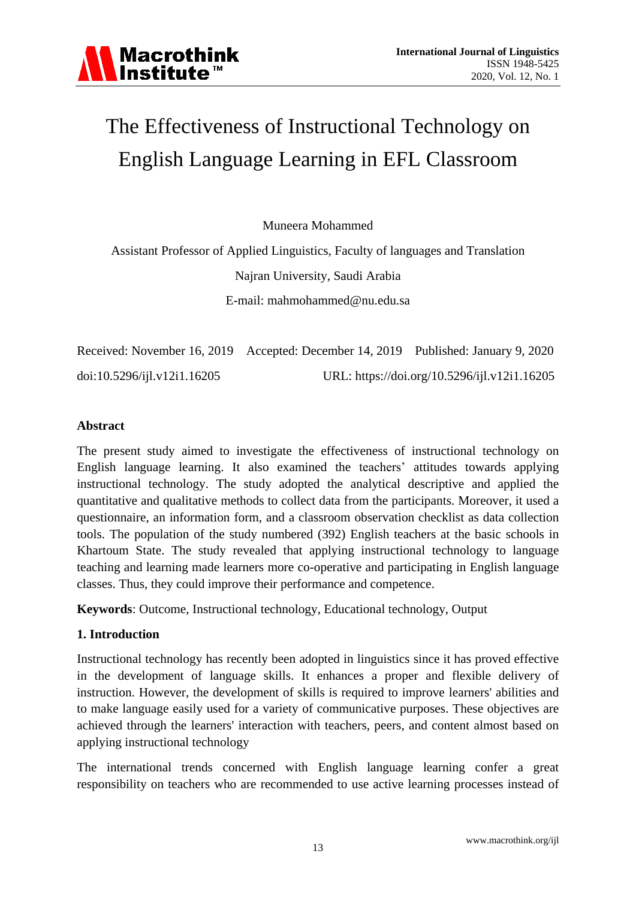# The Effectiveness of Instructional Technology on English Language Learning in EFL Classroom

Muneera Mohammed

Assistant Professor of Applied Linguistics, Faculty of languages and Translation Najran University, Saudi Arabia E-mail: [mahmohammed@nu.edu.sa](mailto:mahmohammed@nu.edu.sa)

|                             | Received: November 16, 2019 Accepted: December 14, 2019 Published: January 9, 2020 |                                              |
|-----------------------------|------------------------------------------------------------------------------------|----------------------------------------------|
| doi:10.5296/ijl.v12i1.16205 |                                                                                    | URL: https://doi.org/10.5296/ijl.v12i1.16205 |

# **Abstract**

The present study aimed to investigate the effectiveness of instructional technology on English language learning. It also examined the teachers' attitudes towards applying instructional technology. The study adopted the analytical descriptive and applied the quantitative and qualitative methods to collect data from the participants. Moreover, it used a questionnaire, an information form, and a classroom observation checklist as data collection tools. The population of the study numbered (392) English teachers at the basic schools in Khartoum State. The study revealed that applying instructional technology to language teaching and learning made learners more co-operative and participating in English language classes. Thus, they could improve their performance and competence.

**Keywords**: Outcome, Instructional technology, Educational technology, Output

# **1. Introduction**

Instructional technology has recently been adopted in linguistics since it has proved effective in the development of language skills. It enhances a proper and flexible delivery of instruction. However, the development of skills is required to improve learners' abilities and to make language easily used for a variety of communicative purposes. These objectives are achieved through the learners' interaction with teachers, peers, and content almost based on applying instructional technology

The international trends concerned with English language learning confer a great responsibility on teachers who are recommended to use active learning processes instead of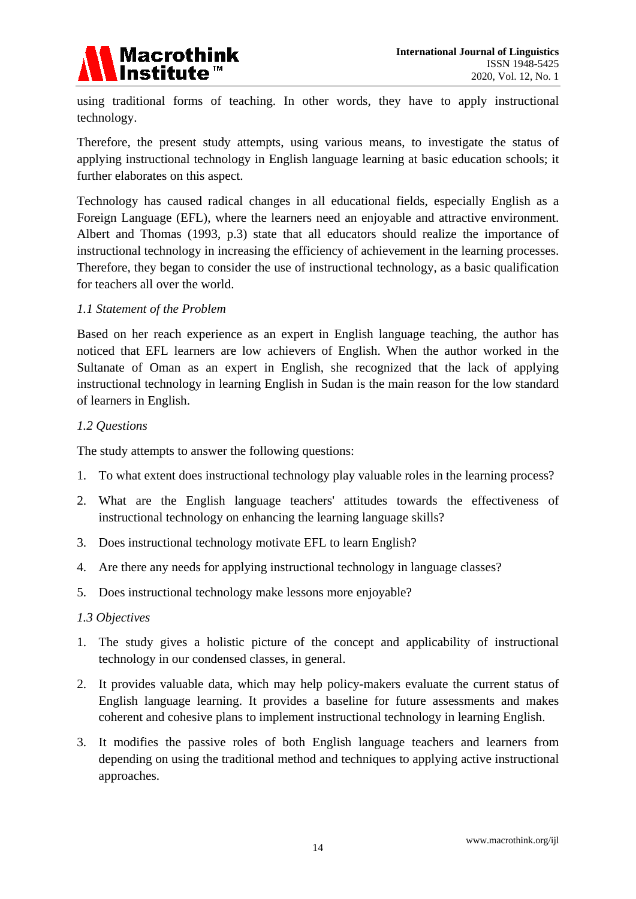

using traditional forms of teaching. In other words, they have to apply instructional technology.

Therefore, the present study attempts, using various means, to investigate the status of applying instructional technology in English language learning at basic education schools; it further elaborates on this aspect.

Technology has caused radical changes in all educational fields, especially English as a Foreign Language (EFL), where the learners need an enjoyable and attractive environment. Albert and Thomas (1993, p.3) state that all educators should realize the importance of instructional technology in increasing the efficiency of achievement in the learning processes. Therefore, they began to consider the use of instructional technology, as a basic qualification for teachers all over the world.

# *1.1 Statement of the Problem*

Based on her reach experience as an expert in English language teaching, the author has noticed that EFL learners are low achievers of English. When the author worked in the Sultanate of Oman as an expert in English, she recognized that the lack of applying instructional technology in learning English in Sudan is the main reason for the low standard of learners in English.

# *1.2 Questions*

The study attempts to answer the following questions:

- 1. To what extent does instructional technology play valuable roles in the learning process?
- 2. What are the English language teachers' attitudes towards the effectiveness of instructional technology on enhancing the learning language skills?
- 3. Does instructional technology motivate EFL to learn English?
- 4. Are there any needs for applying instructional technology in language classes?
- 5. Does instructional technology make lessons more enjoyable?

#### *1.3 Objectives*

- 1. The study gives a holistic picture of the concept and applicability of instructional technology in our condensed classes, in general.
- 2. It provides valuable data, which may help policy-makers evaluate the current status of English language learning. It provides a baseline for future assessments and makes coherent and cohesive plans to implement instructional technology in learning English.
- 3. It modifies the passive roles of both English language teachers and learners from depending on using the traditional method and techniques to applying active instructional approaches.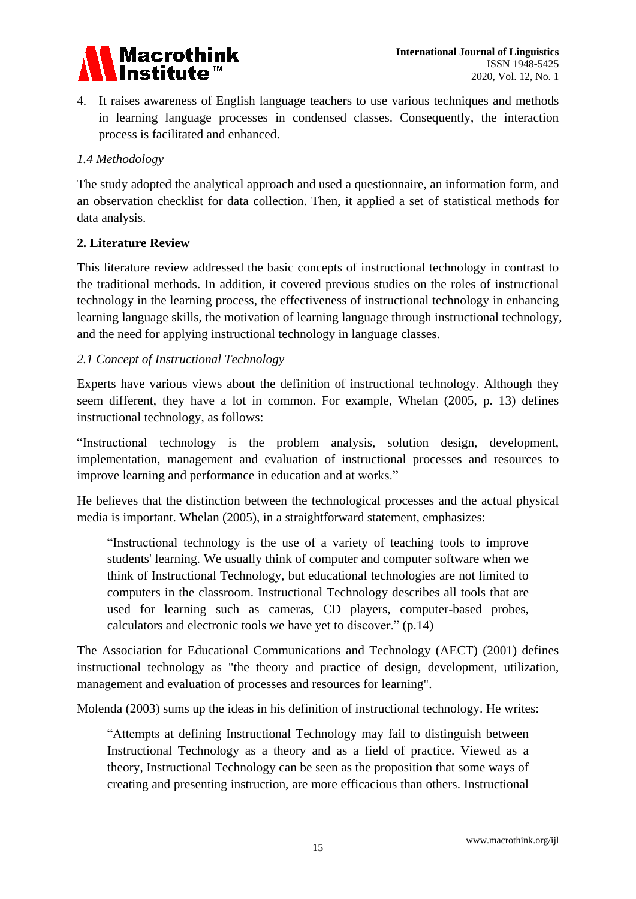

4. It raises awareness of English language teachers to use various techniques and methods in learning language processes in condensed classes. Consequently, the interaction process is facilitated and enhanced.

# *1.4 Methodology*

The study adopted the analytical approach and used a questionnaire, an information form, and an observation checklist for data collection. Then, it applied a set of statistical methods for data analysis.

# **2. Literature Review**

This literature review addressed the basic concepts of instructional technology in contrast to the traditional methods. In addition, it covered previous studies on the roles of instructional technology in the learning process, the effectiveness of instructional technology in enhancing learning language skills, the motivation of learning language through instructional technology, and the need for applying instructional technology in language classes.

# *2.1 Concept of Instructional Technology*

Experts have various views about the definition of instructional technology. Although they seem different, they have a lot in common. For example, Whelan (2005, p. 13) defines instructional technology, as follows:

"Instructional technology is the problem analysis, solution design, development, implementation, management and evaluation of instructional processes and resources to improve learning and performance in education and at works."

He believes that the distinction between the technological processes and the actual physical media is important. Whelan (2005), in a straightforward statement, emphasizes:

"Instructional technology is the use of a variety of teaching tools to improve students' learning. We usually think of computer and computer software when we think of Instructional Technology, but educational technologies are not limited to computers in the classroom. Instructional Technology describes all tools that are used for learning such as cameras, CD players, computer-based probes, calculators and electronic tools we have yet to discover." (p.14)

The Association for Educational Communications and Technology (AECT) (2001) defines instructional technology as "the theory and practice of design, development, utilization, management and evaluation of processes and resources for learning".

Molenda (2003) sums up the ideas in his definition of instructional technology. He writes:

"Attempts at defining Instructional Technology may fail to distinguish between Instructional Technology as a theory and as a field of practice. Viewed as a theory, Instructional Technology can be seen as the proposition that some ways of creating and presenting instruction, are more efficacious than others. Instructional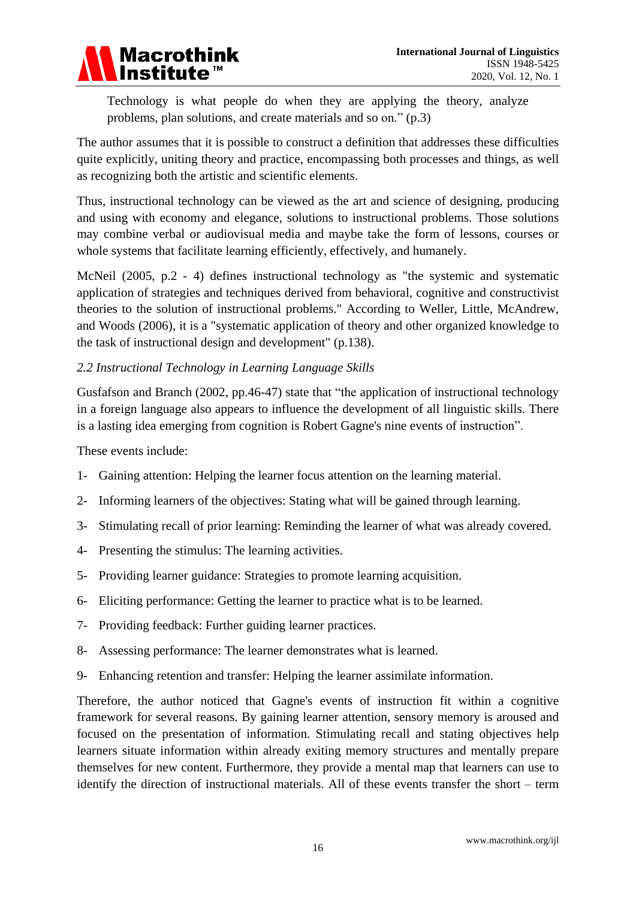

Technology is what people do when they are applying the theory, analyze problems, plan solutions, and create materials and so on." (p.3)

The author assumes that it is possible to construct a definition that addresses these difficulties quite explicitly, uniting theory and practice, encompassing both processes and things, as well as recognizing both the artistic and scientific elements.

Thus, instructional technology can be viewed as the art and science of designing, producing and using with economy and elegance, solutions to instructional problems. Those solutions may combine verbal or audiovisual media and maybe take the form of lessons, courses or whole systems that facilitate learning efficiently, effectively, and humanely.

McNeil (2005, p.2 - 4) defines instructional technology as "the systemic and systematic application of strategies and techniques derived from behavioral, cognitive and constructivist theories to the solution of instructional problems." According to Weller, Little, McAndrew, and Woods (2006), it is a "systematic application of theory and other organized knowledge to the task of instructional design and development" (p.138).

# *2.2 Instructional Technology in Learning Language Skills*

Gusfafson and Branch (2002, pp.46-47) state that "the application of instructional technology in a foreign language also appears to influence the development of all linguistic skills. There is a lasting idea emerging from cognition is Robert Gagne's nine events of instruction".

These events include:

- 1- Gaining attention: Helping the learner focus attention on the learning material.
- 2- Informing learners of the objectives: Stating what will be gained through learning.
- 3- Stimulating recall of prior learning: Reminding the learner of what was already covered.
- 4- Presenting the stimulus: The learning activities.
- 5- Providing learner guidance: Strategies to promote learning acquisition.
- 6- Eliciting performance: Getting the learner to practice what is to be learned.
- 7- Providing feedback: Further guiding learner practices.
- 8- Assessing performance: The learner demonstrates what is learned.
- 9- Enhancing retention and transfer: Helping the learner assimilate information.

Therefore, the author noticed that Gagne's events of instruction fit within a cognitive framework for several reasons. By gaining learner attention, sensory memory is aroused and focused on the presentation of information. Stimulating recall and stating objectives help learners situate information within already exiting memory structures and mentally prepare themselves for new content. Furthermore, they provide a mental map that learners can use to identify the direction of instructional materials. All of these events transfer the short – term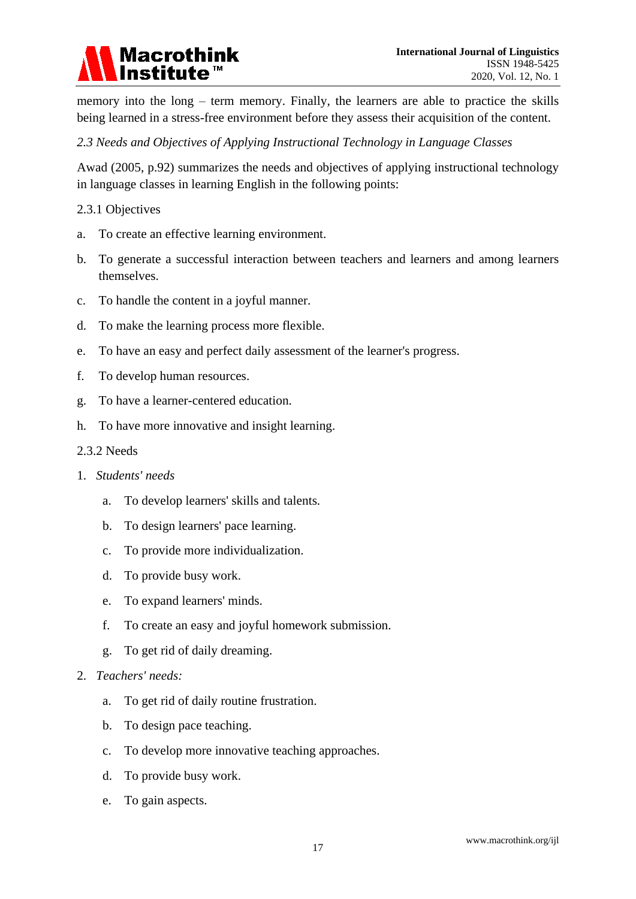

memory into the long – term memory. Finally, the learners are able to practice the skills being learned in a stress-free environment before they assess their acquisition of the content.

# *2.3 Needs and Objectives of Applying Instructional Technology in Language Classes*

Awad (2005, p.92) summarizes the needs and objectives of applying instructional technology in language classes in learning English in the following points:

#### 2.3.1 Objectives

- a. To create an effective learning environment.
- b. To generate a successful interaction between teachers and learners and among learners themselves.
- c. To handle the content in a joyful manner.
- d. To make the learning process more flexible.
- e. To have an easy and perfect daily assessment of the learner's progress.
- f. To develop human resources.
- g. To have a learner-centered education.
- h. To have more innovative and insight learning.
- 2.3.2 Needs
- 1. *Students' needs*
	- a. To develop learners' skills and talents.
	- b. To design learners' pace learning.
	- c. To provide more individualization.
	- d. To provide busy work.
	- e. To expand learners' minds.
	- f. To create an easy and joyful homework submission.
	- g. To get rid of daily dreaming.
- 2. *Teachers' needs:*
	- a. To get rid of daily routine frustration.
	- b. To design pace teaching.
	- c. To develop more innovative teaching approaches.
	- d. To provide busy work.
	- e. To gain aspects.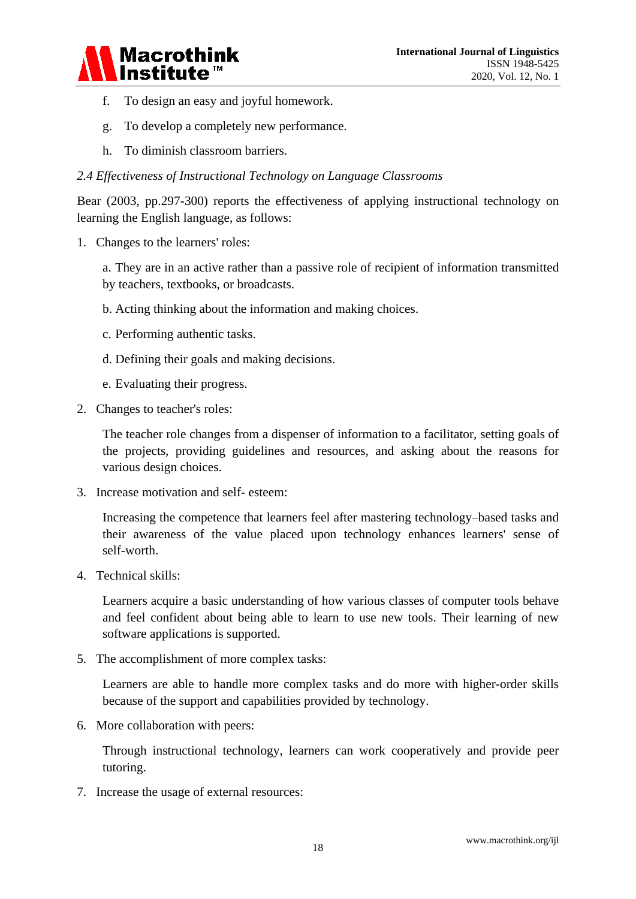

- f. To design an easy and joyful homework.
- g. To develop a completely new performance.
- h. To diminish classroom barriers.

#### *2.4 Effectiveness of Instructional Technology on Language Classrooms*

Bear (2003, pp.297-300) reports the effectiveness of applying instructional technology on learning the English language, as follows:

1. Changes to the learners' roles:

a. They are in an active rather than a passive role of recipient of information transmitted by teachers, textbooks, or broadcasts.

- b. Acting thinking about the information and making choices.
- c. Performing authentic tasks.
- d. Defining their goals and making decisions.
- e. Evaluating their progress.
- 2. Changes to teacher's roles:

The teacher role changes from a dispenser of information to a facilitator, setting goals of the projects, providing guidelines and resources, and asking about the reasons for various design choices.

3. Increase motivation and self- esteem:

Increasing the competence that learners feel after mastering technology–based tasks and their awareness of the value placed upon technology enhances learners' sense of self-worth.

4. Technical skills:

Learners acquire a basic understanding of how various classes of computer tools behave and feel confident about being able to learn to use new tools. Their learning of new software applications is supported.

5. The accomplishment of more complex tasks:

Learners are able to handle more complex tasks and do more with higher-order skills because of the support and capabilities provided by technology.

6. More collaboration with peers:

Through instructional technology, learners can work cooperatively and provide peer tutoring.

7. Increase the usage of external resources: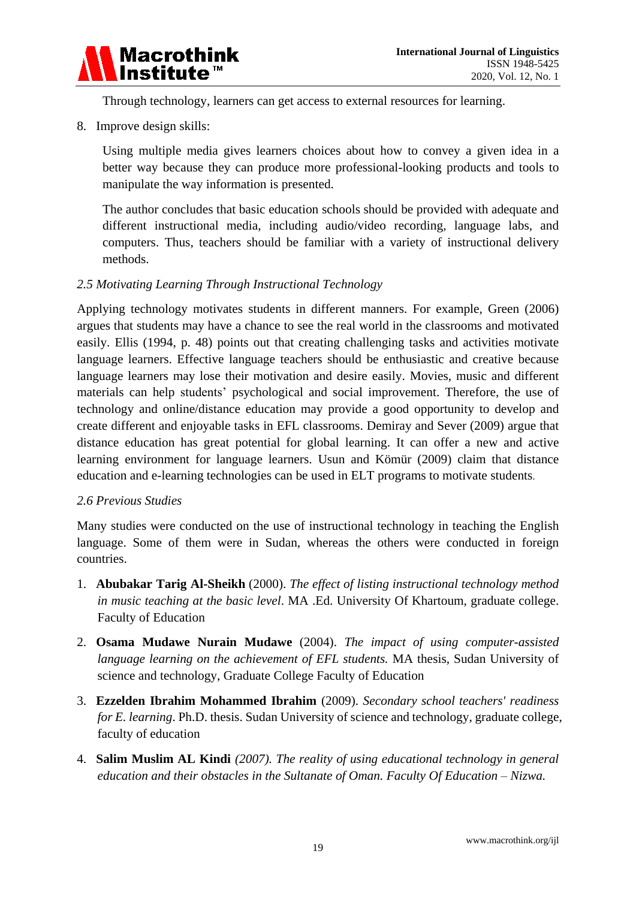

Through technology, learners can get access to external resources for learning.

8. Improve design skills:

Using multiple media gives learners choices about how to convey a given idea in a better way because they can produce more professional-looking products and tools to manipulate the way information is presented.

The author concludes that basic education schools should be provided with adequate and different instructional media, including audio/video recording, language labs, and computers. Thus, teachers should be familiar with a variety of instructional delivery methods.

# *2.5 Motivating Learning Through Instructional Technology*

Applying technology motivates students in different manners. For example, Green (2006) argues that students may have a chance to see the real world in the classrooms and motivated easily. Ellis (1994, p. 48) points out that creating challenging tasks and activities motivate language learners. Effective language teachers should be enthusiastic and creative because language learners may lose their motivation and desire easily. Movies, music and different materials can help students' psychological and social improvement. Therefore, the use of technology and online/distance education may provide a good opportunity to develop and create different and enjoyable tasks in EFL classrooms. Demiray and Sever (2009) argue that distance education has great potential for global learning. It can offer a new and active learning environment for language learners. Usun and Kömür (2009) claim that distance education and e-learning technologies can be used in ELT programs to motivate students.

#### *2.6 Previous Studies*

Many studies were conducted on the use of instructional technology in teaching the English language. Some of them were in Sudan, whereas the others were conducted in foreign countries.

- 1. **Abubakar Tarig Al-Sheikh** (2000). *The effect of listing instructional technology method in music teaching at the basic level*. MA .Ed. University Of Khartoum, graduate college. Faculty of Education
- 2. **Osama Mudawe Nurain Mudawe** (2004). *The impact of using computer-assisted language learning on the achievement of EFL students.* MA thesis, Sudan University of science and technology, Graduate College Faculty of Education
- 3. **Ezzelden Ibrahim Mohammed Ibrahim** (2009). *Secondary school teachers' readiness for E. learning*. Ph.D. thesis. Sudan University of science and technology, graduate college, faculty of education
- 4. **Salim Muslim AL Kindi** *(2007). The reality of using educational technology in general education and their obstacles in the Sultanate of Oman. Faculty Of Education – Nizwa.*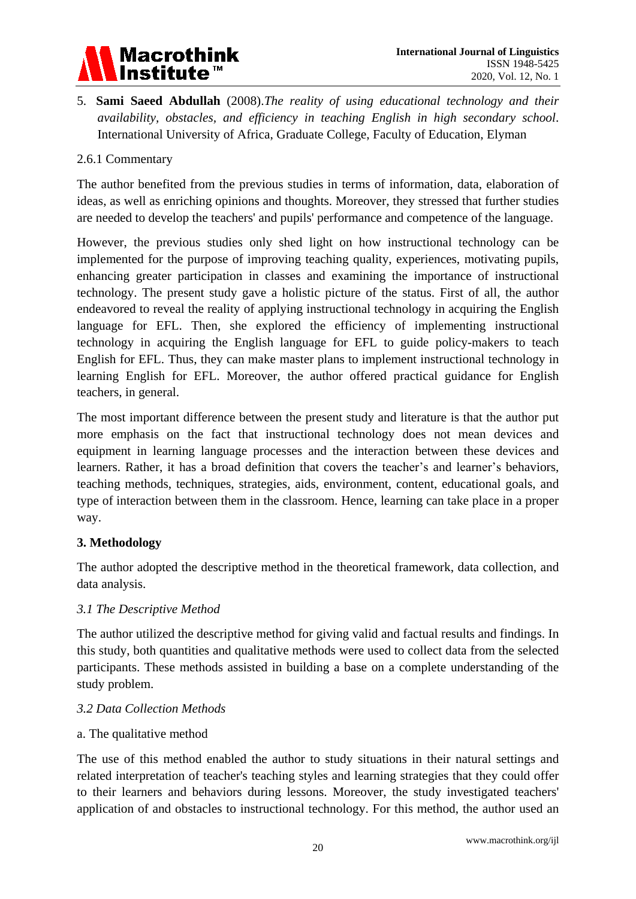

5. **Sami Saeed Abdullah** (2008).*The reality of using educational technology and their availability, obstacles, and efficiency in teaching English in high secondary school*. International University of Africa, Graduate College, Faculty of Education, Elyman

#### 2.6.1 Commentary

The author benefited from the previous studies in terms of information, data, elaboration of ideas, as well as enriching opinions and thoughts. Moreover, they stressed that further studies are needed to develop the teachers' and pupils' performance and competence of the language.

However, the previous studies only shed light on how instructional technology can be implemented for the purpose of improving teaching quality, experiences, motivating pupils, enhancing greater participation in classes and examining the importance of instructional technology. The present study gave a holistic picture of the status. First of all, the author endeavored to reveal the reality of applying instructional technology in acquiring the English language for EFL. Then, she explored the efficiency of implementing instructional technology in acquiring the English language for EFL to guide policy-makers to teach English for EFL. Thus, they can make master plans to implement instructional technology in learning English for EFL. Moreover, the author offered practical guidance for English teachers, in general.

The most important difference between the present study and literature is that the author put more emphasis on the fact that instructional technology does not mean devices and equipment in learning language processes and the interaction between these devices and learners. Rather, it has a broad definition that covers the teacher's and learner's behaviors, teaching methods, techniques, strategies, aids, environment, content, educational goals, and type of interaction between them in the classroom. Hence, learning can take place in a proper way.

#### **3. Methodology**

The author adopted the descriptive method in the theoretical framework, data collection, and data analysis.

#### *3.1 The Descriptive Method*

The author utilized the descriptive method for giving valid and factual results and findings. In this study, both quantities and qualitative methods were used to collect data from the selected participants. These methods assisted in building a base on a complete understanding of the study problem.

#### *3.2 Data Collection Methods*

#### a. The qualitative method

The use of this method enabled the author to study situations in their natural settings and related interpretation of teacher's teaching styles and learning strategies that they could offer to their learners and behaviors during lessons. Moreover, the study investigated teachers' application of and obstacles to instructional technology. For this method, the author used an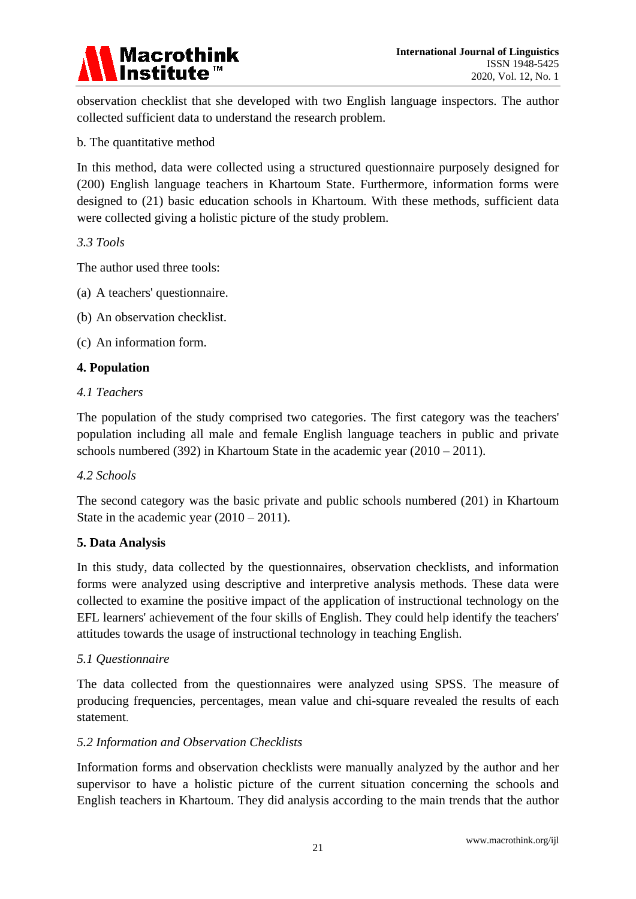

observation checklist that she developed with two English language inspectors. The author collected sufficient data to understand the research problem.

# b. The quantitative method

In this method, data were collected using a structured questionnaire purposely designed for (200) English language teachers in Khartoum State. Furthermore, information forms were designed to (21) basic education schools in Khartoum. With these methods, sufficient data were collected giving a holistic picture of the study problem.

# *3.3 Tools*

The author used three tools:

- (a) A teachers' questionnaire.
- (b) An observation checklist.

(c) An information form.

# **4. Population**

#### *4.1 Teachers*

The population of the study comprised two categories. The first category was the teachers' population including all male and female English language teachers in public and private schools numbered (392) in Khartoum State in the academic year (2010 – 2011).

#### *4.2 Schools*

The second category was the basic private and public schools numbered (201) in Khartoum State in the academic year (2010 – 2011).

#### **5. Data Analysis**

In this study, data collected by the questionnaires, observation checklists, and information forms were analyzed using descriptive and interpretive analysis methods. These data were collected to examine the positive impact of the application of instructional technology on the EFL learners' achievement of the four skills of English. They could help identify the teachers' attitudes towards the usage of instructional technology in teaching English.

#### *5.1 Questionnaire*

The data collected from the questionnaires were analyzed using SPSS. The measure of producing frequencies, percentages, mean value and chi-square revealed the results of each statement.

#### *5.2 Information and Observation Checklists*

Information forms and observation checklists were manually analyzed by the author and her supervisor to have a holistic picture of the current situation concerning the schools and English teachers in Khartoum. They did analysis according to the main trends that the author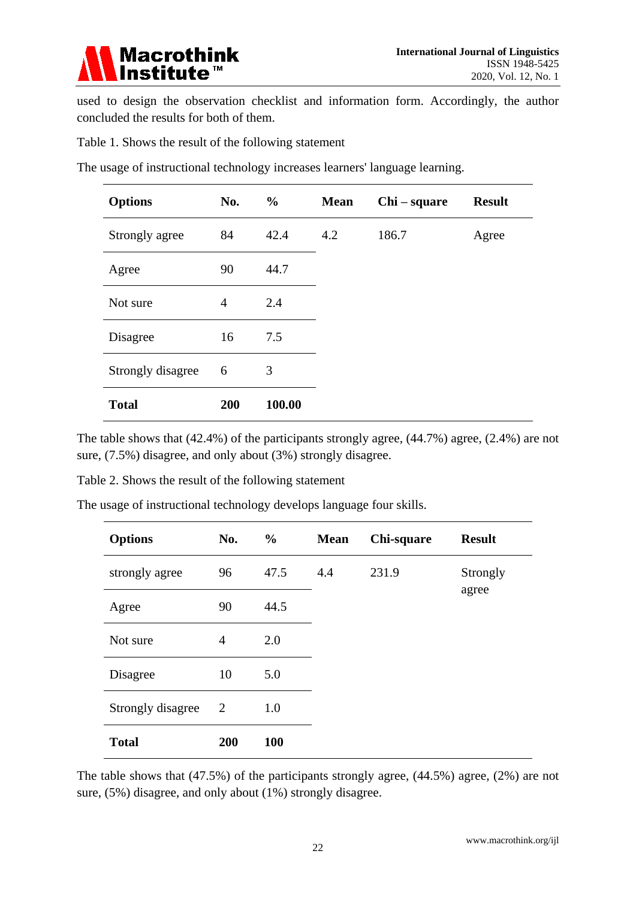

used to design the observation checklist and information form. Accordingly, the author concluded the results for both of them.

Table 1. Shows the result of the following statement

| <b>Options</b>    | No.            | $\frac{0}{0}$ | <b>Mean</b> | Chi – square | <b>Result</b> |
|-------------------|----------------|---------------|-------------|--------------|---------------|
| Strongly agree    | 84             | 42.4          | 4.2         | 186.7        | Agree         |
| Agree             | 90             | 44.7          |             |              |               |
| Not sure          | $\overline{4}$ | 2.4           |             |              |               |
| Disagree          | 16             | 7.5           |             |              |               |
| Strongly disagree | 6              | 3             |             |              |               |
| <b>Total</b>      | 200            | 100.00        |             |              |               |

The usage of instructional technology increases learners' language learning.

The table shows that (42.4%) of the participants strongly agree, (44.7%) agree, (2.4%) are not sure, (7.5%) disagree, and only about (3%) strongly disagree.

Table 2. Shows the result of the following statement

| The usage of instructional technology develops language four skills. |  |  |
|----------------------------------------------------------------------|--|--|
|                                                                      |  |  |

| <b>Options</b>    | No.            | $\frac{6}{6}$ | <b>Mean</b> | Chi-square | <b>Result</b> |
|-------------------|----------------|---------------|-------------|------------|---------------|
| strongly agree    | 96             | 47.5          | 4.4         | 231.9      | Strongly      |
| Agree             | 90             | 44.5          |             |            | agree         |
| Not sure          | $\overline{4}$ | 2.0           |             |            |               |
| Disagree          | 10             | 5.0           |             |            |               |
| Strongly disagree | $\overline{2}$ | 1.0           |             |            |               |
| <b>Total</b>      | 200            | 100           |             |            |               |

The table shows that (47.5%) of the participants strongly agree, (44.5%) agree, (2%) are not sure, (5%) disagree, and only about (1%) strongly disagree.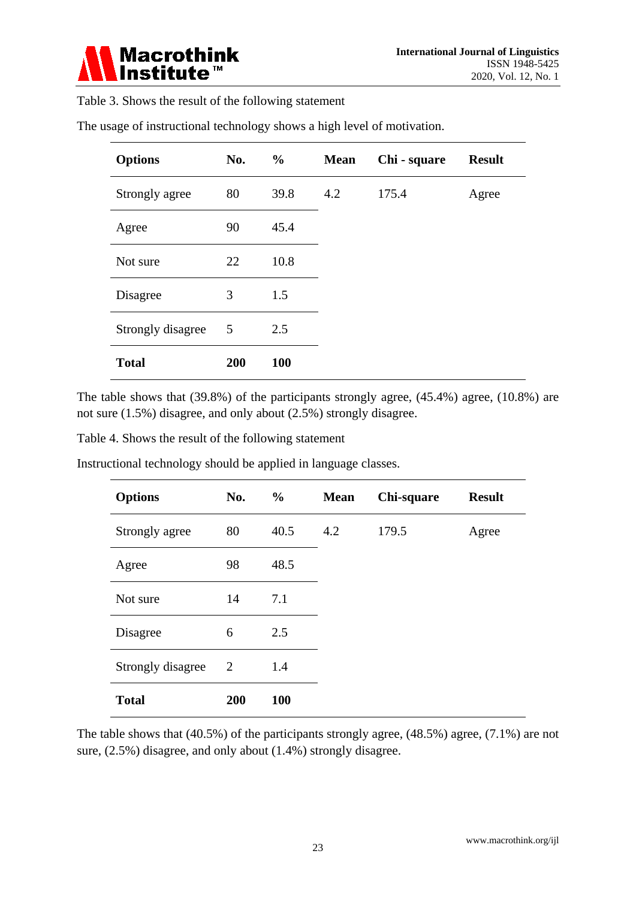

Table 3. Shows the result of the following statement

| <b>Options</b>    | No. | $\frac{6}{9}$ | <b>Mean</b> | Chi - square | <b>Result</b> |
|-------------------|-----|---------------|-------------|--------------|---------------|
| Strongly agree    | 80  | 39.8          | 4.2         | 175.4        | Agree         |
| Agree             | 90  | 45.4          |             |              |               |
| Not sure          | 22  | 10.8          |             |              |               |
| Disagree          | 3   | 1.5           |             |              |               |
| Strongly disagree | 5   | 2.5           |             |              |               |
| <b>Total</b>      | 200 | <b>100</b>    |             |              |               |

The usage of instructional technology shows a high level of motivation.

The table shows that (39.8%) of the participants strongly agree, (45.4%) agree, (10.8%) are not sure (1.5%) disagree, and only about (2.5%) strongly disagree.

Table 4. Shows the result of the following statement

| <b>Options</b>    | No. | $\frac{6}{10}$ | <b>Mean</b> | Chi-square | <b>Result</b> |
|-------------------|-----|----------------|-------------|------------|---------------|
| Strongly agree    | 80  | 40.5           | 4.2         | 179.5      | Agree         |
| Agree             | 98  | 48.5           |             |            |               |
| Not sure          | 14  | 7.1            |             |            |               |
| Disagree          | 6   | 2.5            |             |            |               |
| Strongly disagree | 2   | 1.4            |             |            |               |
| <b>Total</b>      | 200 | 100            |             |            |               |
|                   |     |                |             |            |               |

Instructional technology should be applied in language classes.

The table shows that (40.5%) of the participants strongly agree, (48.5%) agree, (7.1%) are not sure, (2.5%) disagree, and only about (1.4%) strongly disagree.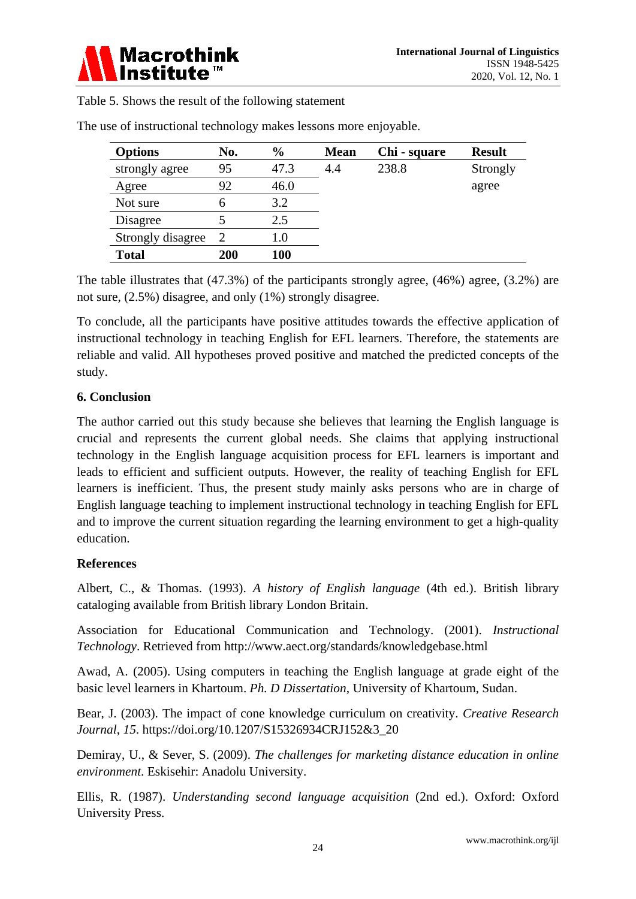

Table 5. Shows the result of the following statement

| <b>Options</b>    | No. | $\frac{6}{6}$ | <b>Mean</b> | Chi - square | <b>Result</b> |
|-------------------|-----|---------------|-------------|--------------|---------------|
| strongly agree    | 95  | 47.3          | 4.4         | 238.8        | Strongly      |
| Agree             | 92  | 46.0          |             |              | agree         |
| Not sure          | 6   | 3.2           |             |              |               |
| Disagree          |     | 2.5           |             |              |               |
| Strongly disagree | 2   | $1.0\,$       |             |              |               |
| <b>Total</b>      | 200 | <b>100</b>    |             |              |               |

The use of instructional technology makes lessons more enjoyable.

The table illustrates that (47.3%) of the participants strongly agree, (46%) agree, (3.2%) are not sure, (2.5%) disagree, and only (1%) strongly disagree.

To conclude, all the participants have positive attitudes towards the effective application of instructional technology in teaching English for EFL learners. Therefore, the statements are reliable and valid. All hypotheses proved positive and matched the predicted concepts of the study.

# **6. Conclusion**

The author carried out this study because she believes that learning the English language is crucial and represents the current global needs. She claims that applying instructional technology in the English language acquisition process for EFL learners is important and leads to efficient and sufficient outputs. However, the reality of teaching English for EFL learners is inefficient. Thus, the present study mainly asks persons who are in charge of English language teaching to implement instructional technology in teaching English for EFL and to improve the current situation regarding the learning environment to get a high-quality education.

# **References**

Albert, C., & Thomas. (1993). *A history of English language* (4th ed.). British library cataloging available from British library London Britain.

Association for Educational Communication and Technology. (2001). *Instructional Technology*. Retrieved from<http://www.aect.org/standards/knowledgebase.html>

Awad, A. (2005). Using computers in teaching the English language at grade eight of the basic level learners in Khartoum. *Ph. D Dissertation*, University of Khartoum, Sudan.

Bear, J. (2003). The impact of cone knowledge curriculum on creativity. *Creative Research Journal*, *15*. https://doi.org/10.1207/S15326934CRJ152&3\_20

Demiray, U., & Sever, S. (2009). *The challenges for marketing distance education in online environment*. Eskisehir: Anadolu University.

Ellis, R. (1987). *Understanding second language acquisition* (2nd ed.). Oxford: Oxford University Press.